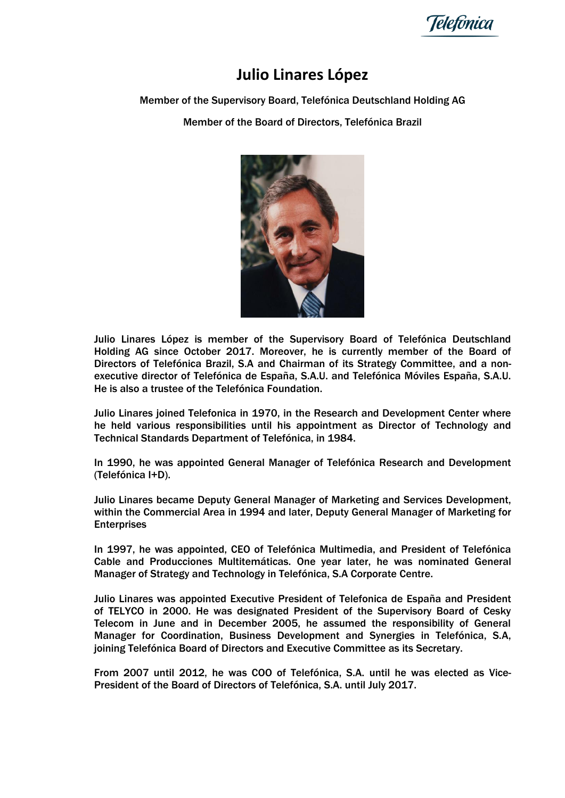Telefônica

## **Julio Linares López**

## Member of the Supervisory Board, Telefónica Deutschland Holding AG

Member of the Board of Directors, Telefónica Brazil



Julio Linares López is member of the Supervisory Board of Telefónica Deutschland Holding AG since October 2017. Moreover, he is currently member of the Board of Directors of Telefónica Brazil, S.A and Chairman of its Strategy Committee, and a nonexecutive director of Telefónica de España, S.A.U. and Telefónica Móviles España, S.A.U. He is also a trustee of the Telefónica Foundation.

Julio Linares joined Telefonica in 1970, in the Research and Development Center where he held various responsibilities until his appointment as Director of Technology and Technical Standards Department of Telefónica, in 1984.

In 1990, he was appointed General Manager of Telefónica Research and Development (Telefónica I+D).

Julio Linares became Deputy General Manager of Marketing and Services Development, within the Commercial Area in 1994 and later, Deputy General Manager of Marketing for **Enterprises** 

In 1997, he was appointed, CEO of Telefónica Multimedia, and President of Telefónica Cable and Producciones Multitemáticas. One year later, he was nominated General Manager of Strategy and Technology in Telefónica, S.A Corporate Centre.

Julio Linares was appointed Executive President of Telefonica de España and President of TELYCO in 2000. He was designated President of the Supervisory Board of Cesky Telecom in June and in December 2005, he assumed the responsibility of General Manager for Coordination, Business Development and Synergies in Telefónica, S.A, joining Telefónica Board of Directors and Executive Committee as its Secretary.

From 2007 until 2012, he was COO of Telefónica, S.A. until he was elected as Vice-President of the Board of Directors of Telefónica, S.A. until July 2017.